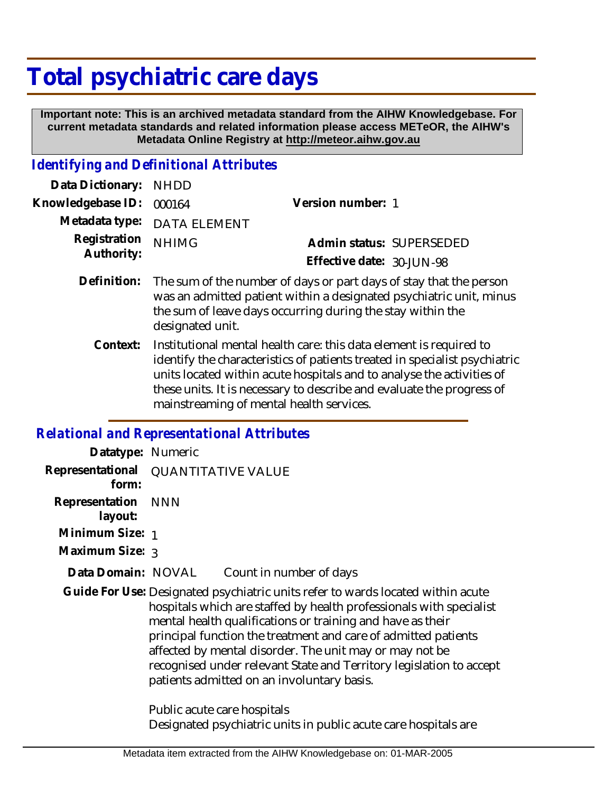# **Total psychiatric care days**

 **Important note: This is an archived metadata standard from the AIHW Knowledgebase. For current metadata standards and related information please access METeOR, the AIHW's Metadata Online Registry at http://meteor.aihw.gov.au**

## *Identifying and Definitional Attributes*

| Data Dictionary: NHDD    |                             |                           |  |
|--------------------------|-----------------------------|---------------------------|--|
| Knowledgebase ID: 000164 |                             | Version number: 1         |  |
|                          | Metadata type: DATA ELEMENT |                           |  |
| Registration NHIMG       |                             | Admin status: SUPERSEDED  |  |
| Authority:               |                             | Effective date: 30-JUN-98 |  |
|                          |                             |                           |  |

- Definition: The sum of the number of days or part days of stay that the person was an admitted patient within a designated psychiatric unit, minus the sum of leave days occurring during the stay within the designated unit.
	- Institutional mental health care: this data element is required to identify the characteristics of patients treated in specialist psychiatric units located within acute hospitals and to analyse the activities of these units. It is necessary to describe and evaluate the progress of mainstreaming of mental health services. **Context:**

#### *Relational and Representational Attributes*

| Datatype: Numeric             |                                                                                                                                                                                                                                                                                                                                                                                                                                                                        |
|-------------------------------|------------------------------------------------------------------------------------------------------------------------------------------------------------------------------------------------------------------------------------------------------------------------------------------------------------------------------------------------------------------------------------------------------------------------------------------------------------------------|
| form:                         | Representational QUANTITATIVE VALUE                                                                                                                                                                                                                                                                                                                                                                                                                                    |
| Representation NNN<br>layout: |                                                                                                                                                                                                                                                                                                                                                                                                                                                                        |
| Minimum Size: 1               |                                                                                                                                                                                                                                                                                                                                                                                                                                                                        |
| Maximum Size: 3               |                                                                                                                                                                                                                                                                                                                                                                                                                                                                        |
| Data Domain: NOVAL            | Count in number of days                                                                                                                                                                                                                                                                                                                                                                                                                                                |
|                               | Guide For Use: Designated psychiatric units refer to wards located within acute<br>hospitals which are staffed by health professionals with specialist<br>mental health qualifications or training and have as their<br>principal function the treatment and care of admitted patients<br>affected by mental disorder. The unit may or may not be<br>recognised under relevant State and Territory legislation to accept<br>patients admitted on an involuntary basis. |
|                               | Public acute care hospitals<br>Designated psychiatric units in public acute care hospitals are                                                                                                                                                                                                                                                                                                                                                                         |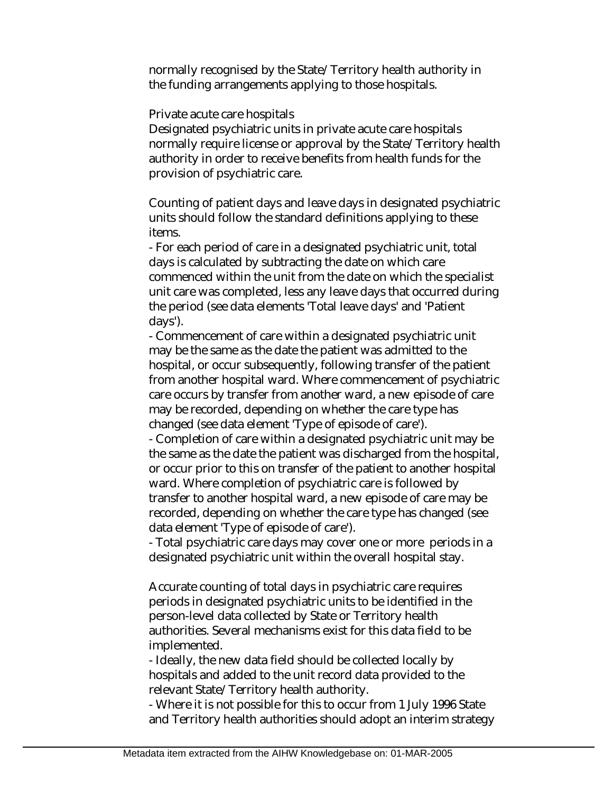normally recognised by the State/Territory health authority in the funding arrangements applying to those hospitals.

#### Private acute care hospitals

Designated psychiatric units in private acute care hospitals normally require license or approval by the State/Territory health authority in order to receive benefits from health funds for the provision of psychiatric care.

Counting of patient days and leave days in designated psychiatric units should follow the standard definitions applying to these items.

- For each period of care in a designated psychiatric unit, total days is calculated by subtracting the date on which care commenced within the unit from the date on which the specialist unit care was completed, less any leave days that occurred during the period (see data elements 'Total leave days' and 'Patient days').

- Commencement of care within a designated psychiatric unit may be the same as the date the patient was admitted to the hospital, or occur subsequently, following transfer of the patient from another hospital ward. Where commencement of psychiatric care occurs by transfer from another ward, a new episode of care may be recorded, depending on whether the care type has changed (see data element 'Type of episode of care').

- Completion of care within a designated psychiatric unit may be the same as the date the patient was discharged from the hospital, or occur prior to this on transfer of the patient to another hospital ward. Where completion of psychiatric care is followed by transfer to another hospital ward, a new episode of care may be recorded, depending on whether the care type has changed (see data element 'Type of episode of care').

- Total psychiatric care days may cover one or more periods in a designated psychiatric unit within the overall hospital stay.

Accurate counting of total days in psychiatric care requires periods in designated psychiatric units to be identified in the person-level data collected by State or Territory health authorities. Several mechanisms exist for this data field to be implemented.

- Ideally, the new data field should be collected locally by hospitals and added to the unit record data provided to the relevant State/Territory health authority.

- Where it is not possible for this to occur from 1 July 1996 State and Territory health authorities should adopt an interim strategy